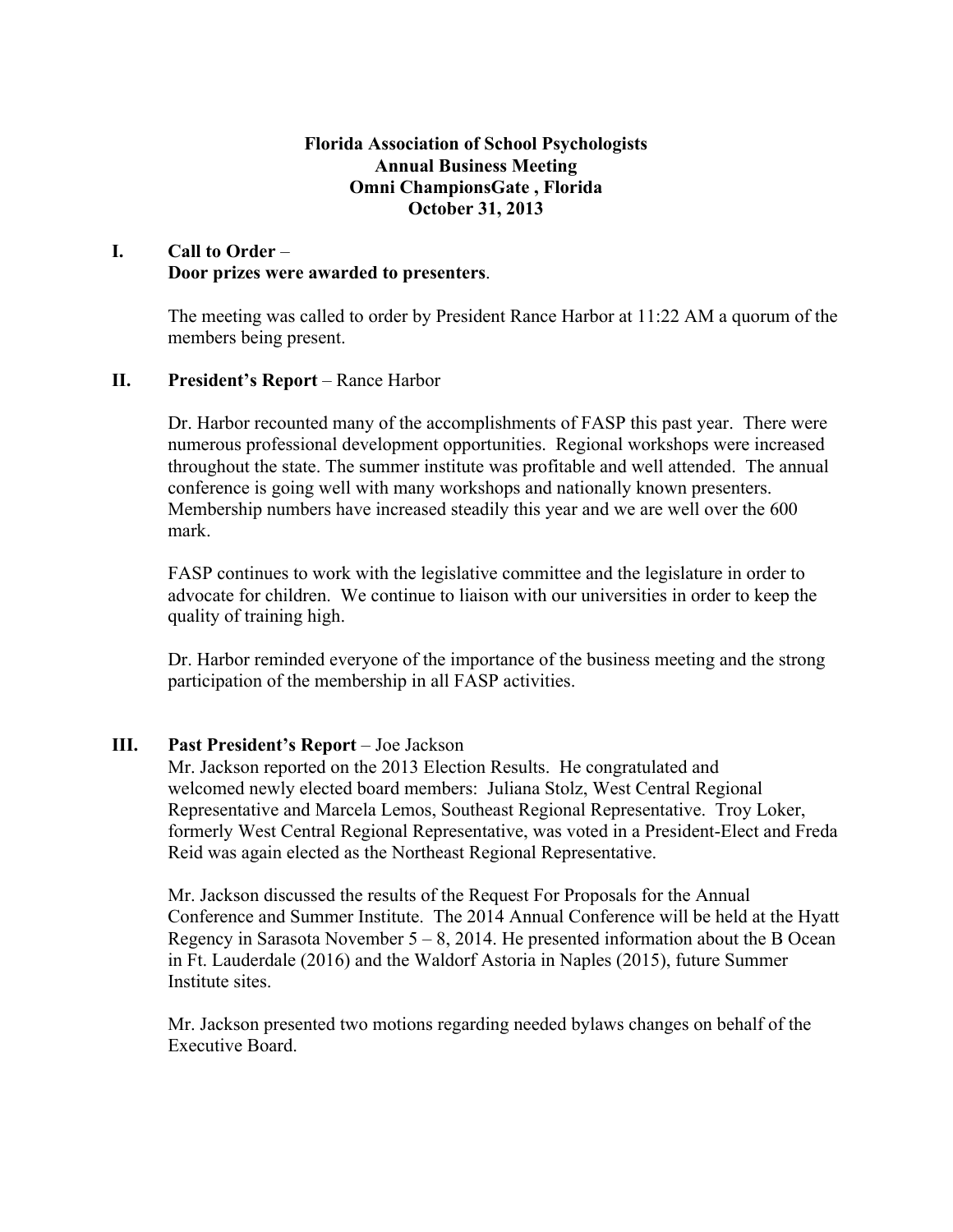## **Florida Association of School Psychologists Annual Business Meeting Omni ChampionsGate , Florida October 31, 2013**

# **I. Call to Order** – **Door prizes were awarded to presenters**.

The meeting was called to order by President Rance Harbor at 11:22 AM a quorum of the members being present.

# **II. President's Report** – Rance Harbor

Dr. Harbor recounted many of the accomplishments of FASP this past year. There were numerous professional development opportunities. Regional workshops were increased throughout the state. The summer institute was profitable and well attended. The annual conference is going well with many workshops and nationally known presenters. Membership numbers have increased steadily this year and we are well over the 600 mark.

FASP continues to work with the legislative committee and the legislature in order to advocate for children. We continue to liaison with our universities in order to keep the quality of training high.

Dr. Harbor reminded everyone of the importance of the business meeting and the strong participation of the membership in all FASP activities.

### **III. Past President's Report** – Joe Jackson

Mr. Jackson reported on the 2013 Election Results. He congratulated and welcomed newly elected board members: Juliana Stolz, West Central Regional Representative and Marcela Lemos, Southeast Regional Representative. Troy Loker, formerly West Central Regional Representative, was voted in a President-Elect and Freda Reid was again elected as the Northeast Regional Representative.

Mr. Jackson discussed the results of the Request For Proposals for the Annual Conference and Summer Institute. The 2014 Annual Conference will be held at the Hyatt Regency in Sarasota November  $5 - 8$ , 2014. He presented information about the B Ocean in Ft. Lauderdale (2016) and the Waldorf Astoria in Naples (2015), future Summer Institute sites.

Mr. Jackson presented two motions regarding needed bylaws changes on behalf of the Executive Board.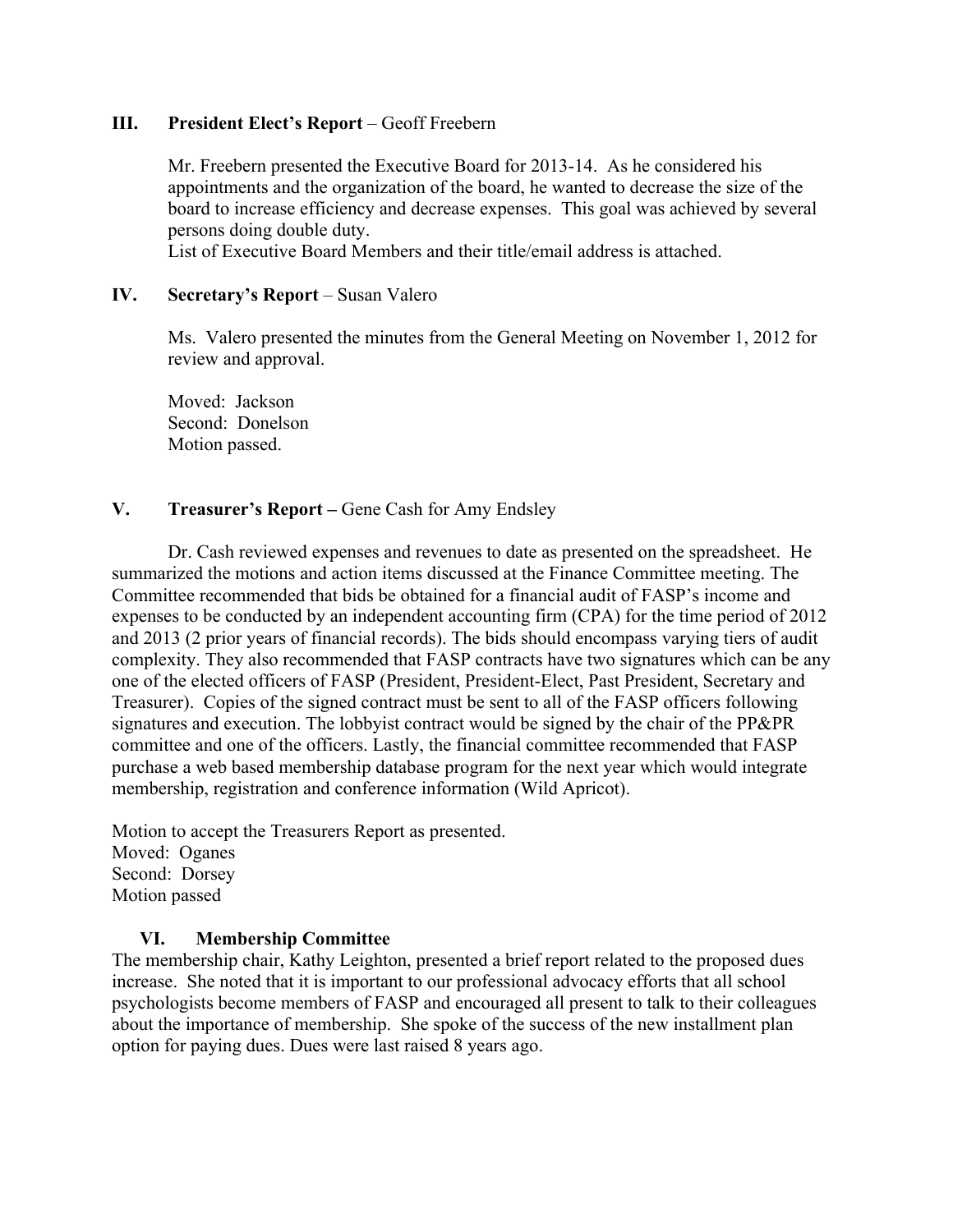### **III. President Elect's Report** – Geoff Freebern

Mr. Freebern presented the Executive Board for 2013-14. As he considered his appointments and the organization of the board, he wanted to decrease the size of the board to increase efficiency and decrease expenses. This goal was achieved by several persons doing double duty.

List of Executive Board Members and their title/email address is attached.

### **IV.** Secretary's Report – Susan Valero

Ms. Valero presented the minutes from the General Meeting on November 1, 2012 for review and approval.

Moved: Jackson Second: Donelson Motion passed.

## **V. Treasurer's Report –** Gene Cash for Amy Endsley

Dr. Cash reviewed expenses and revenues to date as presented on the spreadsheet. He summarized the motions and action items discussed at the Finance Committee meeting. The Committee recommended that bids be obtained for a financial audit of FASP's income and expenses to be conducted by an independent accounting firm (CPA) for the time period of 2012 and 2013 (2 prior years of financial records). The bids should encompass varying tiers of audit complexity. They also recommended that FASP contracts have two signatures which can be any one of the elected officers of FASP (President, President-Elect, Past President, Secretary and Treasurer). Copies of the signed contract must be sent to all of the FASP officers following signatures and execution. The lobbyist contract would be signed by the chair of the PP&PR committee and one of the officers. Lastly, the financial committee recommended that FASP purchase a web based membership database program for the next year which would integrate membership, registration and conference information (Wild Apricot).

Motion to accept the Treasurers Report as presented. Moved: Oganes Second: Dorsey Motion passed

#### **VI. Membership Committee**

The membership chair, Kathy Leighton, presented a brief report related to the proposed dues increase. She noted that it is important to our professional advocacy efforts that all school psychologists become members of FASP and encouraged all present to talk to their colleagues about the importance of membership. She spoke of the success of the new installment plan option for paying dues. Dues were last raised 8 years ago.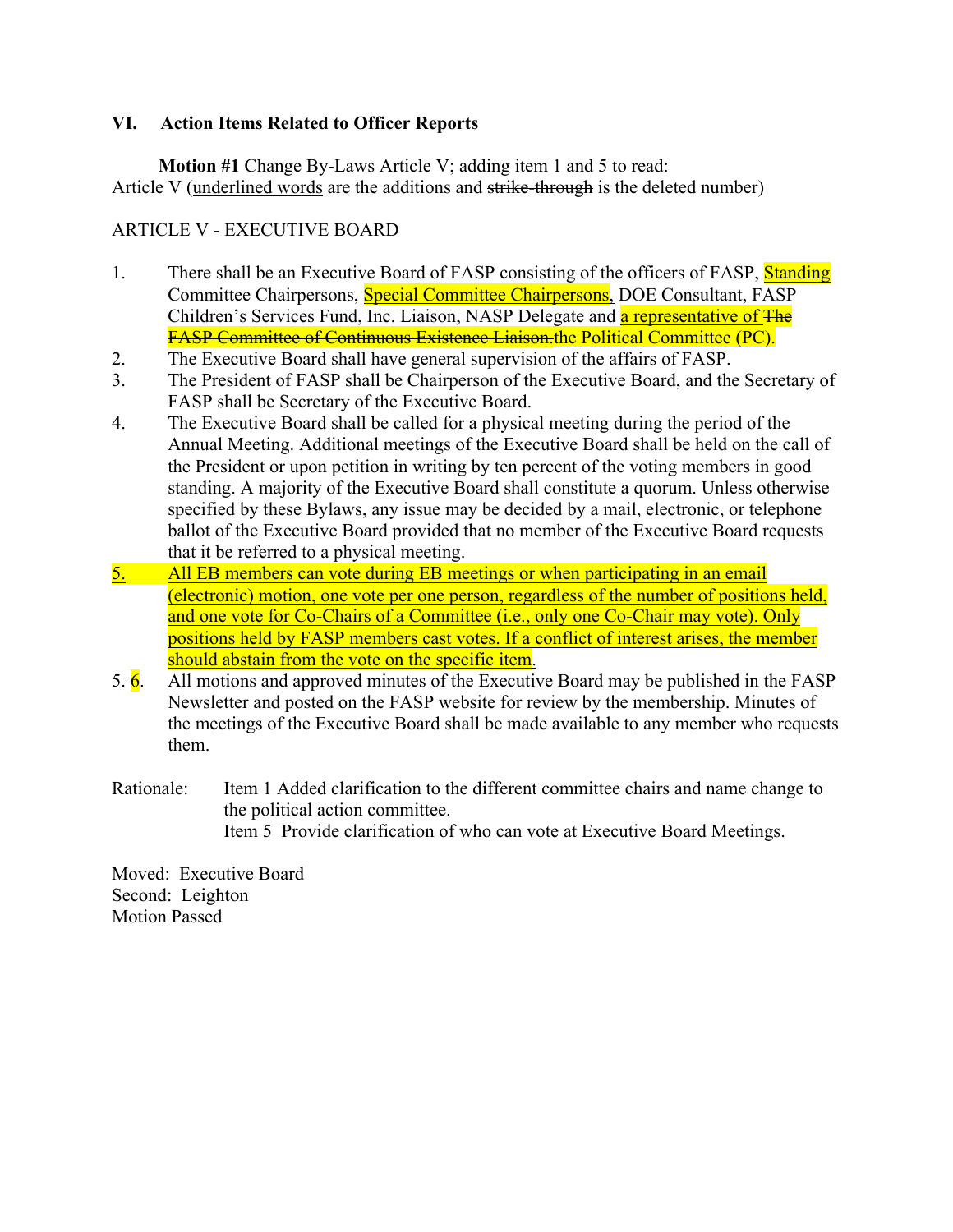# **VI. Action Items Related to Officer Reports**

 **Motion #1** Change By-Laws Article V; adding item 1 and 5 to read: Article V (underlined words are the additions and strike-through is the deleted number)

# ARTICLE V - EXECUTIVE BOARD

- 1. There shall be an Executive Board of FASP consisting of the officers of FASP, Standing Committee Chairpersons, Special Committee Chairpersons, DOE Consultant, FASP Children's Services Fund, Inc. Liaison, NASP Delegate and a representative of The FASP Committee of Continuous Existence Liaison.the Political Committee (PC).
- 2. The Executive Board shall have general supervision of the affairs of FASP.
- 3. The President of FASP shall be Chairperson of the Executive Board, and the Secretary of FASP shall be Secretary of the Executive Board.
- 4. The Executive Board shall be called for a physical meeting during the period of the Annual Meeting. Additional meetings of the Executive Board shall be held on the call of the President or upon petition in writing by ten percent of the voting members in good standing. A majority of the Executive Board shall constitute a quorum. Unless otherwise specified by these Bylaws, any issue may be decided by a mail, electronic, or telephone ballot of the Executive Board provided that no member of the Executive Board requests that it be referred to a physical meeting.
- 5. All EB members can vote during EB meetings or when participating in an email (electronic) motion, one vote per one person, regardless of the number of positions held, and one vote for Co-Chairs of a Committee (i.e., only one Co-Chair may vote). Only positions held by FASP members cast votes. If a conflict of interest arises, the member should abstain from the vote on the specific item.
- $\frac{5}{6}$ . All motions and approved minutes of the Executive Board may be published in the FASP Newsletter and posted on the FASP website for review by the membership. Minutes of the meetings of the Executive Board shall be made available to any member who requests them.
- Rationale: Item 1 Added clarification to the different committee chairs and name change to the political action committee. Item 5 Provide clarification of who can vote at Executive Board Meetings.

Moved: Executive Board Second: Leighton Motion Passed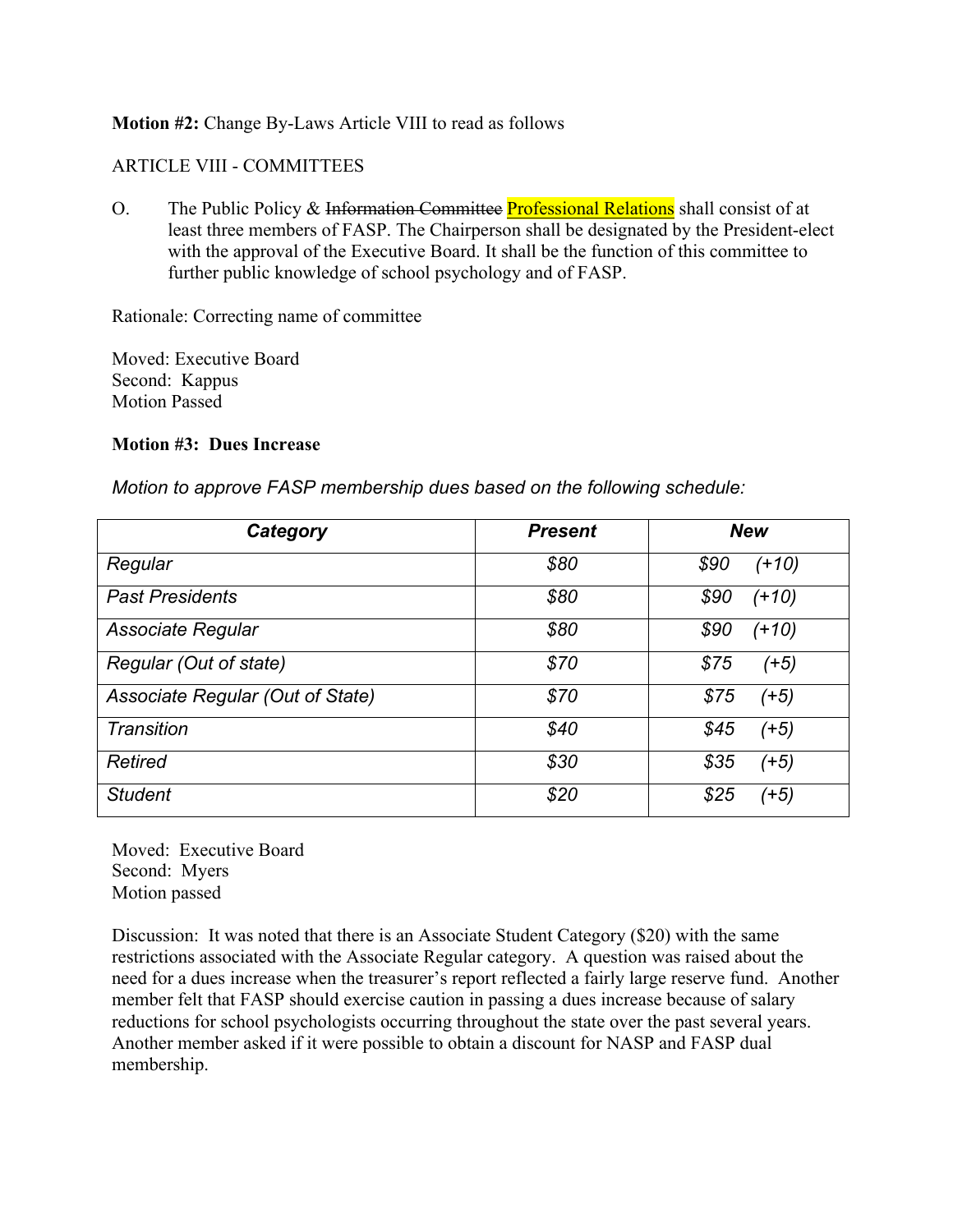## **Motion #2:** Change By-Laws Article VIII to read as follows

# ARTICLE VIII - COMMITTEES

O. The Public Policy & Information Committee Professional Relations shall consist of at least three members of FASP. The Chairperson shall be designated by the President-elect with the approval of the Executive Board. It shall be the function of this committee to further public knowledge of school psychology and of FASP.

Rationale: Correcting name of committee

Moved: Executive Board Second: Kappus Motion Passed

#### **Motion #3: Dues Increase**

*Motion to approve FASP membership dues based on the following schedule:*

| Category                         | <b>Present</b> | <b>New</b>      |
|----------------------------------|----------------|-----------------|
| Regular                          | \$80           | \$90<br>$(+10)$ |
| <b>Past Presidents</b>           | \$80           | \$90<br>(+10)   |
| <b>Associate Regular</b>         | \$80           | \$90<br>$(+10)$ |
| Regular (Out of state)           | \$70           | \$75<br>(+5)    |
| Associate Regular (Out of State) | \$70           | \$75<br>$(+5)$  |
| Transition                       | \$40           | \$45<br>(+5)    |
| <b>Retired</b>                   | \$30           | \$35<br>(+5)    |
| <b>Student</b>                   | \$20           | \$25<br>(+5)    |

Moved: Executive Board Second: Myers Motion passed

Discussion: It was noted that there is an Associate Student Category (\$20) with the same restrictions associated with the Associate Regular category. A question was raised about the need for a dues increase when the treasurer's report reflected a fairly large reserve fund. Another member felt that FASP should exercise caution in passing a dues increase because of salary reductions for school psychologists occurring throughout the state over the past several years. Another member asked if it were possible to obtain a discount for NASP and FASP dual membership.